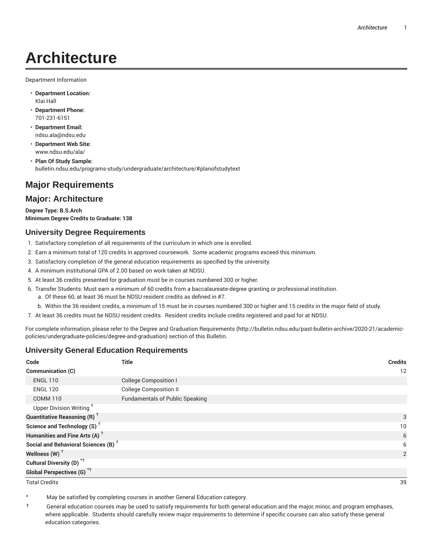# **Architecture**

Department Information

- **Department Location:** Klai Hall
- **Department Phone:** 701-231-6151
- **Department Email:** ndsu.ala@ndsu.edu
- **Department Web Site:** www.ndsu.edu/ala/
- **Plan Of Study Sample:** bulletin.ndsu.edu/programs-study/undergraduate/architecture/#planofstudytext

# **Major Requirements**

## **Major: Architecture**

**Degree Type: B.S.Arch Minimum Degree Credits to Graduate: 138**

#### **University Degree Requirements**

- 1. Satisfactory completion of all requirements of the curriculum in which one is enrolled.
- 2. Earn a minimum total of 120 credits in approved coursework. Some academic programs exceed this minimum.
- 3. Satisfactory completion of the general education requirements as specified by the university.
- 4. A minimum institutional GPA of 2.00 based on work taken at NDSU.
- 5. At least 36 credits presented for graduation must be in courses numbered 300 or higher.
- 6. Transfer Students: Must earn a minimum of 60 credits from a baccalaureate-degree granting or professional institution.
	- a. Of these 60, at least 36 must be NDSU resident credits as defined in #7.
	- b. Within the 36 resident credits, a minimum of 15 must be in courses numbered 300 or higher and 15 credits in the major field of study.
- 7. At least 36 credits must be NDSU resident credits. Resident credits include credits registered and paid for at NDSU.

For complete information, please refer to the Degree and Graduation Requirements (http://bulletin.ndsu.edu/past-bulletin-archive/2020-21/academicpolicies/undergraduate-policies/degree-and-graduation) section of this Bulletin.

### **University General Education Requirements**

| Code                                            | <b>Title</b>                           | <b>Credits</b> |
|-------------------------------------------------|----------------------------------------|----------------|
| <b>Communication (C)</b>                        |                                        | 12             |
| <b>ENGL 110</b>                                 | <b>College Composition I</b>           |                |
| <b>ENGL 120</b>                                 | <b>College Composition II</b>          |                |
| COMM <sub>110</sub>                             | <b>Fundamentals of Public Speaking</b> |                |
| Upper Division Writing <sup>+</sup>             |                                        |                |
| <b>Quantitative Reasoning (R)</b> <sup>†</sup>  |                                        | 3              |
| Science and Technology (S) <sup>+</sup>         |                                        | 10             |
| Humanities and Fine Arts (A) <sup>+</sup>       |                                        | 6              |
| Social and Behavioral Sciences (B) <sup>+</sup> |                                        | 6              |
| Wellness $(W)$ <sup>†</sup>                     |                                        | 2              |
| Cultural Diversity (D) <sup>*†</sup>            |                                        |                |
| <b>Global Perspectives (G)<sup>*†</sup></b>     |                                        |                |

Total Credits 39

May be satisfied by completing courses in another General Education category.

† General education courses may be used to satisfy requirements for both general education and the major, minor, and program emphases, where applicable. Students should carefully review major requirements to determine if specific courses can also satisfy these general education categories.